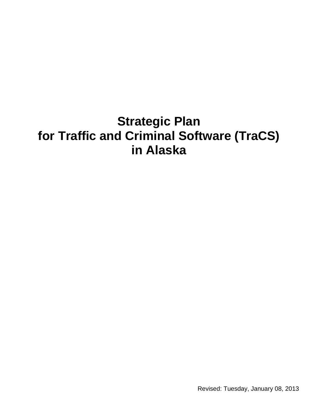# **Strategic Plan for Traffic and Criminal Software (TraCS) in Alaska**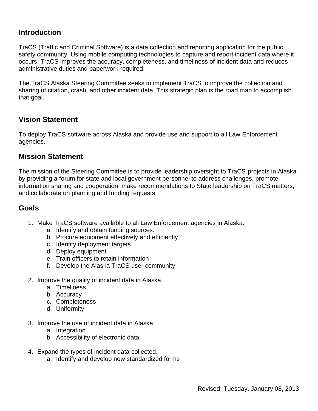## **Introduction**

TraCS (Traffic and Criminal Software) is a data collection and reporting application for the public safety community. Using mobile computing technologies to capture and report incident data where it occurs, TraCS improves the accuracy, completeness, and timeliness of incident data and reduces administrative duties and paperwork required.

The TraCS Alaska Steering Committee seeks to implement TraCS to improve the collection and sharing of citation, crash, and other incident data. This strategic plan is the road map to accomplish that goal.

## **Vision Statement**

To deploy TraCS software across Alaska and provide use and support to all Law Enforcement agencies.

## **Mission Statement**

The mission of the Steering Committee is to provide leadership oversight to TraCS projects in Alaska by providing a forum for state and local government personnel to address challenges, promote information sharing and cooperation, make recommendations to State leadership on TraCS matters, and collaborate on planning and funding requests.

## **Goals**

- 1. Make TraCS software available to all Law Enforcement agencies in Alaska.
	- a. Identify and obtain funding sources.
	- b. Procure equipment effectively and efficiently
	- c. Identify deployment targets
	- d. Deploy equipment
	- e. Train officers to retain information
	- f. Develop the Alaska TraCS user community
- 2. Improve the quality of incident data in Alaska.
	- a. Timeliness
	- b. Accuracy
	- c. Completeness
	- d. Uniformity
- 3. Improve the use of incident data in Alaska.
	- a. Integration
	- b. Accessibility of electronic data
- 4. Expand the types of incident data collected.
	- a. Identify and develop new standardized forms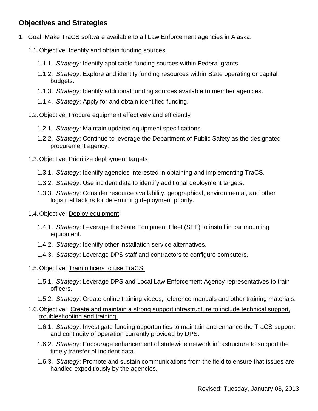## **Objectives and Strategies**

- 1. Goal: Make TraCS software available to all Law Enforcement agencies in Alaska.
	- 1.1. Objective: **Identify and obtain funding sources** 
		- 1.1.1. *Strategy*: Identify applicable funding sources within Federal grants.
		- 1.1.2. *Strategy*: Explore and identify funding resources within State operating or capital budgets.
		- 1.1.3. *Strategy*: Identify additional funding sources available to member agencies.
		- 1.1.4. *Strategy*: Apply for and obtain identified funding.

#### 1.2.Objective: Procure equipment effectively and efficiently

- 1.2.1. *Strategy*: Maintain updated equipment specifications.
- 1.2.2. *Strategy*: Continue to leverage the Department of Public Safety as the designated procurement agency.

#### 1.3.Objective: Prioritize deployment targets

- 1.3.1. *Strategy*: Identify agencies interested in obtaining and implementing TraCS.
- 1.3.2. *Strategy*: Use incident data to identify additional deployment targets.
- 1.3.3. *Strategy*: Consider resource availability, geographical, environmental, and other logistical factors for determining deployment priority.

#### 1.4. Objective: Deploy equipment

- 1.4.1. *Strategy*: Leverage the State Equipment Fleet (SEF) to install in car mounting equipment.
- 1.4.2. *Strategy*: Identify other installation service alternatives.
- 1.4.3. *Strategy*: Leverage DPS staff and contractors to configure computers.

#### 1.5.Objective: Train officers to use TraCS.

- 1.5.1. *Strategy*: Leverage DPS and Local Law Enforcement Agency representatives to train officers.
- 1.5.2. *Strategy*: Create online training videos, reference manuals and other training materials.

#### 1.6.Objective: Create and maintain a strong support infrastructure to include technical support, troubleshooting and training.

- 1.6.1. *Strategy*: Investigate funding opportunities to maintain and enhance the TraCS support and continuity of operation currently provided by DPS.
- 1.6.2. *Strategy*: Encourage enhancement of statewide network infrastructure to support the timely transfer of incident data.
- 1.6.3. *Strategy*: Promote and sustain communications from the field to ensure that issues are handled expeditiously by the agencies.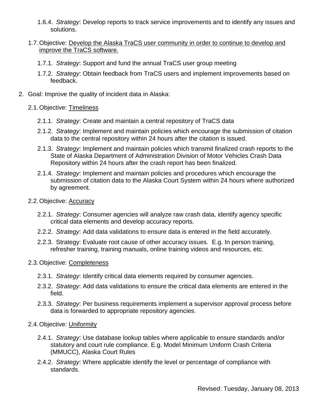1.6.4. *Strategy*: Develop reports to track service improvements and to identify any issues and solutions.

#### 1.7. Objective: Develop the Alaska TraCS user community in order to continue to develop and improve the TraCS software.

- 1.7.1. *Strategy*: Support and fund the annual TraCS user group meeting
- 1.7.2. *Strategy*: Obtain feedback from TraCS users and implement improvements based on feedback.
- 2. Goal: Improve the quality of incident data in Alaska:

#### 2.1.Objective: Timeliness

- 2.1.1. *Strategy*: Create and maintain a central repository of TraCS data
- 2.1.2. *Strategy*: Implement and maintain policies which encourage the submission of citation data to the central repository within 24 hours after the citation is issued.
- 2.1.3. *Strategy*: Implement and maintain policies which transmit finalized crash reports to the State of Alaska Department of Administration Division of Motor Vehicles Crash Data Repository within 24 hours after the crash report has been finalized.
- 2.1.4. *Strategy*: Implement and maintain policies and procedures which encourage the submission of citation data to the Alaska Court System within 24 hours where authorized by agreement.

#### 2.2.Objective: Accuracy

- 2.2.1. *Strategy*: Consumer agencies will analyze raw crash data, identify agency specific critical data elements and develop accuracy reports.
- 2.2.2. *Strategy*: Add data validations to ensure data is entered in the field accurately.
- 2.2.3. Strategy: Evaluate root cause of other accuracy issues. E.g. In person training, refresher training, training manuals, online training videos and resources, etc.

#### 2.3.Objective: Completeness

- 2.3.1. *Strategy*: Identify critical data elements required by consumer agencies.
- 2.3.2. *Strategy*: Add data validations to ensure the critical data elements are entered in the field.
- 2.3.3. *Strategy*: Per business requirements implement a supervisor approval process before data is forwarded to appropriate repository agencies.

#### 2.4.Objective: Uniformity

- 2.4.1. *Strategy*: Use database lookup tables where applicable to ensure standards and/or statutory and court rule compliance. E.g. Model Minimum Uniform Crash Criteria (MMUCC), Alaska Court Rules
- 2.4.2. *Strategy*: Where applicable identify the level or percentage of compliance with standards.